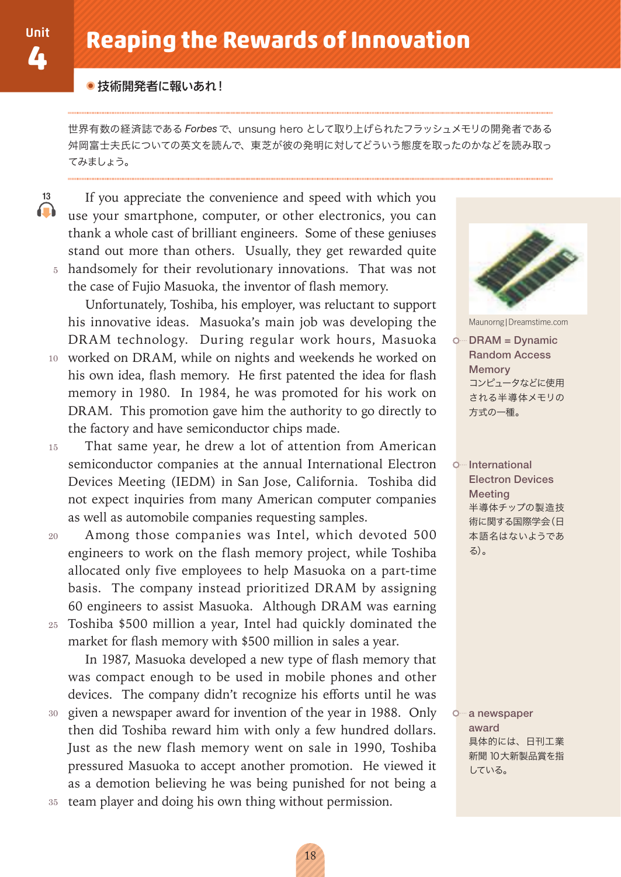$13$ 

#### ● 技術開発者に報いあれ!

世界有数の経済誌である Forbes で、unsung hero として取り上げられたフラッシュメモリの開発者である 舛岡富士夫氏についての英文を読んで、東芝が彼の発明に対してどういう態度を取ったのかなどを読み取っ てみましょう。

If you appreciate the convenience and speed with which you  $\Omega$ use your smartphone, computer, or other electronics, you can thank a whole cast of brilliant engineers. Some of these geniuses stand out more than others. Usually, they get rewarded quite 5 handsomely for their revolutionary innovations. That was not the case of Fujio Masuoka, the inventor of flash memory.

Unfortunately, Toshiba, his employer, was reluctant to support his innovative ideas. Masuoka's main job was developing the DRAM technology. During regular work hours, Masuoka 10 worked on DRAM, while on nights and weekends he worked on his own idea, flash memory. He first patented the idea for flash memory in 1980. In 1984, he was promoted for his work on DRAM. This promotion gave him the authority to go directly to the factory and have semiconductor chips made.

That same year, he drew a lot of attention from American  $15$ semiconductor companies at the annual International Electron Devices Meeting (IEDM) in San Jose, California. Toshiba did not expect inquiries from many American computer companies as well as automobile companies requesting samples.

Among those companies was Intel, which devoted 500 20 engineers to work on the flash memory project, while Toshiba allocated only five employees to help Masuoka on a part-time basis. The company instead prioritized DRAM by assigning 60 engineers to assist Masuoka. Although DRAM was earning 25 Toshiba \$500 million a year, Intel had quickly dominated the

market for flash memory with \$500 million in sales a year. In 1987, Masuoka developed a new type of flash memory that was compact enough to be used in mobile phones and other devices. The company didn't recognize his efforts until he was given a newspaper award for invention of the year in 1988. Only 30 then did Toshiba reward him with only a few hundred dollars. Just as the new flash memory went on sale in 1990, Toshiba pressured Masuoka to accept another promotion. He viewed it as a demotion believing he was being punished for not being a

35 team player and doing his own thing without permission.



Maunorng | Dreamstime.com

O. DRAM = Dynamic **Random Access** Memory コンピュータなどに使用 される半導体メモリの 方式の一種。

O<sup>...</sup>International **Electron Devices** Meeting 半導体チップの製造技 術に関する国際学会(日 本語名はないようであ る)。

o a newspaper award 具体的には、日刊工業 新聞 10大新製品賞を指 している。

18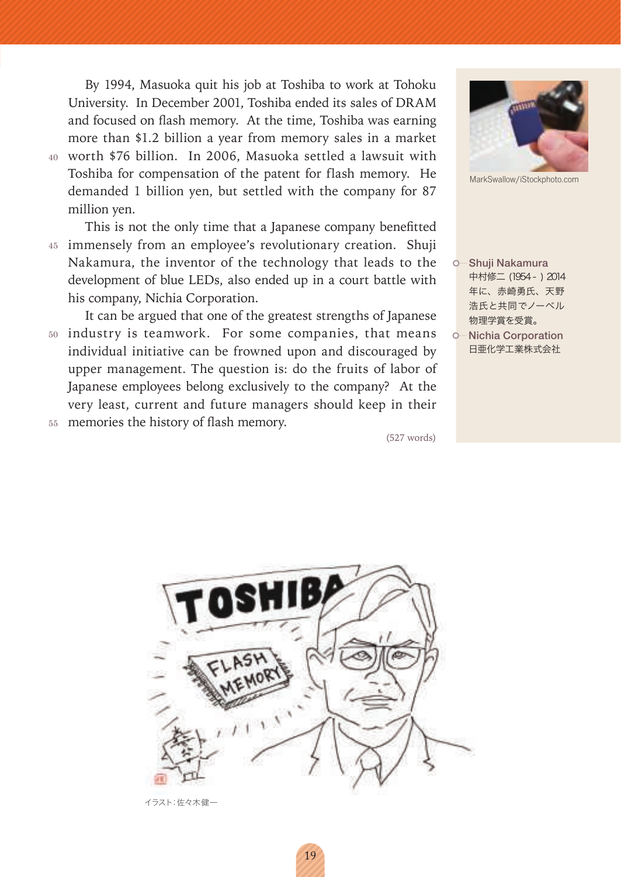By 1994, Masuoka quit his job at Toshiba to work at Tohoku University. In December 2001, Toshiba ended its sales of DRAM and focused on flash memory. At the time, Toshiba was earning more than \$1.2 billion a year from memory sales in a market 40 worth \$76 billion. In 2006, Masuoka settled a lawsuit with Toshiba for compensation of the patent for flash memory. He demanded 1 billion yen, but settled with the company for 87 million yen.

This is not the only time that a Japanese company benefitted 45 immensely from an employee's revolutionary creation. Shuji Nakamura, the inventor of the technology that leads to the development of blue LEDs, also ended up in a court battle with his company, Nichia Corporation.

It can be argued that one of the greatest strengths of Japanese 50 industry is teamwork. For some companies, that means individual initiative can be frowned upon and discouraged by upper management. The question is: do the fruits of labor of Japanese employees belong exclusively to the company? At the very least, current and future managers should keep in their 55 memories the history of flash memory.

 $(527 \text{ words})$ 



イラスト:佐々木健一



MarkSwallow/iStockphoto.com

- O Shuji Nakamura 中村修二 (1954 - ) 2014 年に、赤崎勇氏、天野 浩氏と共同でノーベル 物理学賞を受賞。
- O<sup>...</sup> Nichia Corporation 日亜化学工業株式会社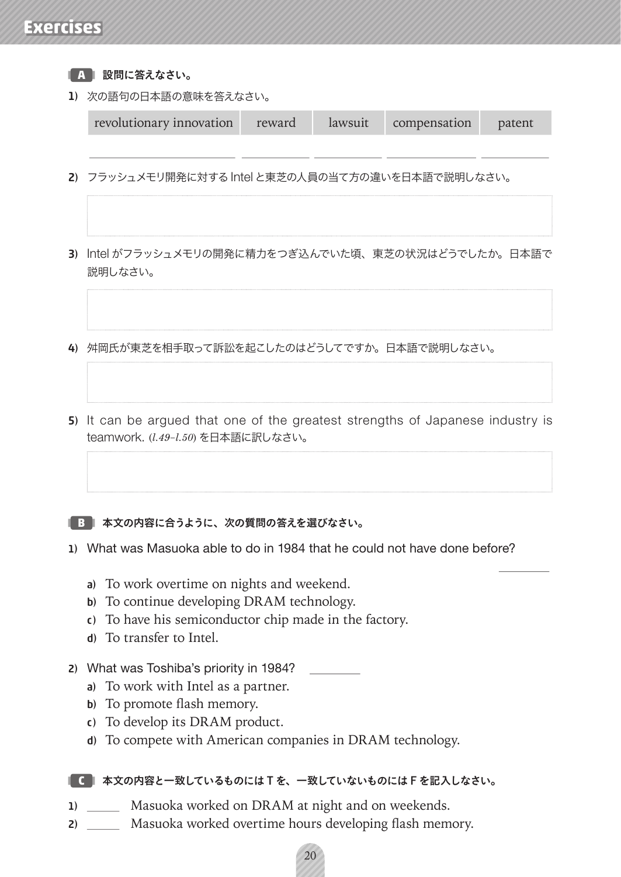# **Exercises**

|     | 設問に答えなさい。                                                                                                                                                                                  |        |         |              |        |
|-----|--------------------------------------------------------------------------------------------------------------------------------------------------------------------------------------------|--------|---------|--------------|--------|
| 1)  | 次の語句の日本語の意味を答えなさい。                                                                                                                                                                         |        |         |              |        |
|     | revolutionary innovation                                                                                                                                                                   | reward | lawsuit | compensation | patent |
|     | 2) フラッシュメモリ開発に対する Intel と東芝の人員の当て方の違いを日本語で説明しなさい。<br>Intel がフラッシュメモリの開発に精力をつぎ込んでいた頃、東芝の状況はどうでしたか。日本語で<br>説明しなさい。                                                                           |        |         |              |        |
| 3). |                                                                                                                                                                                            |        |         |              |        |
|     | 4) 舛岡氏が東芝を相手取って訴訟を起こしたのはどうしてですか。日本語で説明しなさい。                                                                                                                                                |        |         |              |        |
|     | 5) It can be argued that one of the greatest strengths of Japanese industry is<br>teamwork. (1.49-1.50) を日本語に訳しなさい。                                                                        |        |         |              |        |
|     | 本文の内容に合うように、次の質問の答えを選びなさい。                                                                                                                                                                 |        |         |              |        |
|     | 1) What was Masuoka able to do in 1984 that he could not have done before?                                                                                                                 |        |         |              |        |
|     | To work overtime on nights and weekend.<br>a)<br>To continue developing DRAM technology.<br>b)<br>To have his semiconductor chip made in the factory.<br>C)<br>To transfer to Intel.<br>d) |        |         |              |        |
| 2)  | What was Toshiba's priority in 1984?<br>To work with Intel as a partner.<br>a)<br>To promote flash memory.<br>b)                                                                           |        |         |              |        |

- c) To develop its DRAM product.
- d) To compete with American companies in DRAM technology.

### ■■ 本文の内容と一致しているものにはTを、一致していないものにはFを記入しなさい。

- 1) \_\_\_\_\_\_\_ Masuoka worked on DRAM at night and on weekends.
- 2) \_\_\_\_\_\_ Masuoka worked overtime hours developing flash memory.